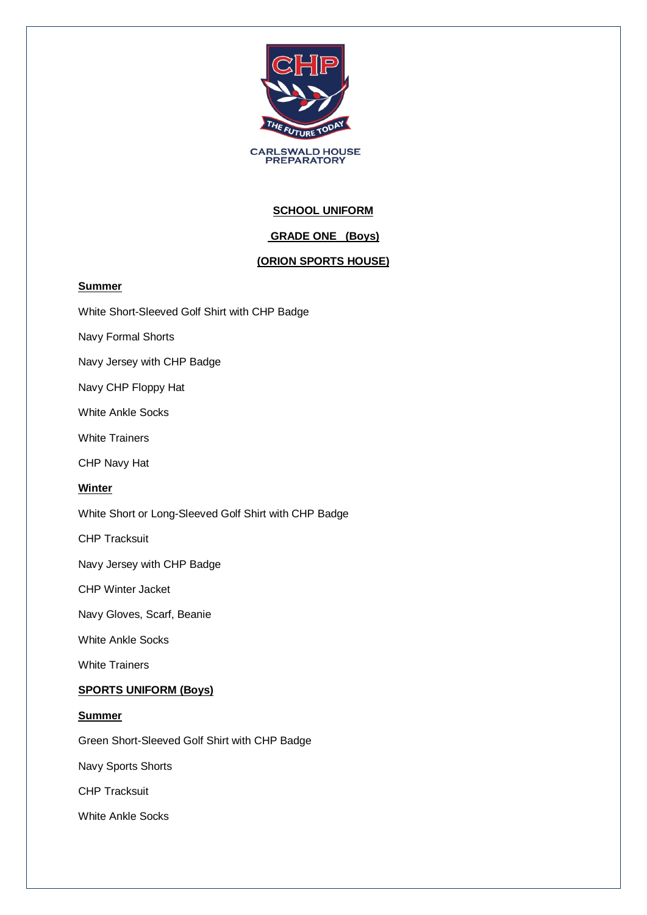

**CARLSWALD HOUSE<br>PREPARATORY** 

# **SCHOOL UNIFORM**

## **GRADE ONE (Boys)**

### **(ORION SPORTS HOUSE)**

### **Summer**

White Short-Sleeved Golf Shirt with CHP Badge

Navy Formal Shorts

Navy Jersey with CHP Badge

Navy CHP Floppy Hat

White Ankle Socks

White Trainers

CHP Navy Hat

#### **Winter**

White Short or Long-Sleeved Golf Shirt with CHP Badge

CHP Tracksuit

Navy Jersey with CHP Badge

CHP Winter Jacket

Navy Gloves, Scarf, Beanie

White Ankle Socks

White Trainers

#### **SPORTS UNIFORM (Boys)**

#### **Summer**

Green Short-Sleeved Golf Shirt with CHP Badge

Navy Sports Shorts

CHP Tracksuit

White Ankle Socks